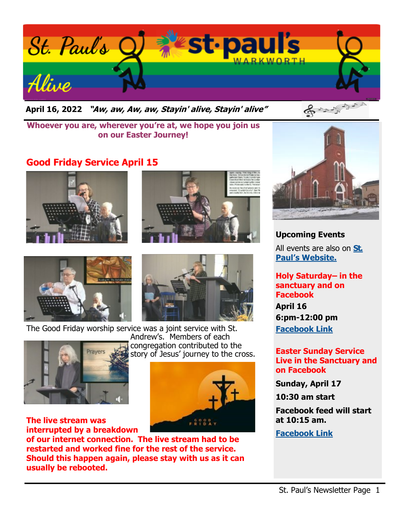

**April 16, 2022 "Aw, aw, Aw, aw, Stayin' alive, Stayin' alive"** 



**Whoever you are, wherever you're at, we hope you join us on our Easter Journey!**

# **Good Friday Service April 15**









The Good Friday worship service was a joint service with St.



**The live stream was interrupted by a breakdown** 

**of our internet connection. The live stream had to be restarted and worked fine for the rest of the service. Should this happen again, please stay with us as it can usually be rebooted.**

Andrew's. Members of each congregation contributed to the story of Jesus' journey to the cross.





**Upcoming Events** All events are also on **[St.](https://stpaulswarkworth.ca/)  [Paul's Website.](https://stpaulswarkworth.ca/)**

**Holy Saturday– in the sanctuary and on Facebook April 16 6:pm-12:00 pm [Facebook Link](https://www.facebook.com/stpaulsunitedchurchwarkworth)**

**Easter Sunday Service Live in the Sanctuary and on Facebook** 

**Sunday, April 17**

**10:30 am start**

**Facebook feed will start at 10:15 am.**

**[Facebook Link](https://www.facebook.com/stpaulsunitedchurchwarkworth)**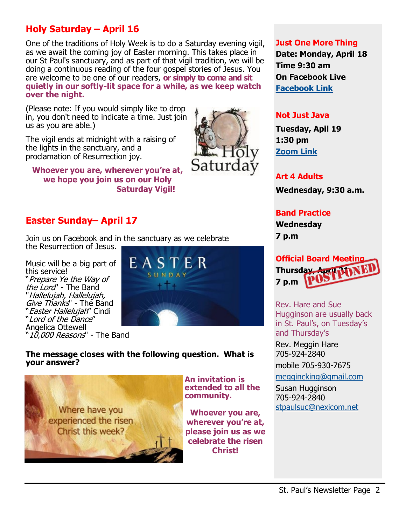# **Holy Saturday – April 16**

One of the traditions of Holy Week is to do a Saturday evening vigil, as we await the coming joy of Easter morning. This takes place in our St Paul's sanctuary, and as part of that vigil tradition, we will be doing a continuous reading of the four gospel stories of Jesus. You are welcome to be one of our readers, **or simply to come and sit quietly in our softly-lit space for a while, as we keep watch over the night.**

(Please note: If you would simply like to drop in, you don't need to indicate a time. Just join us as you are able.)

The vigil ends at midnight with a raising of the lights in the sanctuary, and a proclamation of Resurrection joy.

**Whoever you are, wherever you're at, we hope you join us on our Holy Saturday Vigil!**

### **Easter Sunday– April 17**

Join us on Facebook and in the sanctuary as we celebrate the Resurrection of Jesus.

Music will be a big part of this service! "Prepare Ye the Way of the Lord" - The Band "Hallelujah, Hallelujah, Give Thanks'' - The Band "Easter Hallelujah" Cindi "Lord of the Dance" Angelica Ottewell 10,000 Reasons" - The Band



Saturd

#### **The message closes with the following question. What is your answer?**



**An invitation is extended to all the community.**

**Whoever you are, wherever you're at, please join us as we celebrate the risen Christ!**

#### **Just One More Thing**

**Date: Monday, April 18 Time 9:30 am On Facebook Live [Facebook Link](https://www.facebook.com/stpaulsunitedchurchwarkworth)**

#### **Not Just Java**

**Tuesday, Apil 19 1:30 pm [Zoom Link](https://us02web.zoom.us/j/89298492606?pwd=a2JDMGhWekdwdTMrRWhGOXU2clZCZz09)**

#### **Art 4 Adults**

**Wednesday, 9:30 a.m.**

### **Band Practice Wednesday 7 p.m**



Rev. Hare and Sue Hugginson are usually back in St. Paul's, on Tuesday's and Thursday's

Rev. Meggin Hare 705-924-2840 mobile 705-930-7675

[meggincking@gmail.com](mailto:meggincking@gmail.com)

Susan Hugginson 705-924-2840 [stpaulsuc@nexicom.net](mailto:stpaulsuc@nexicom.net)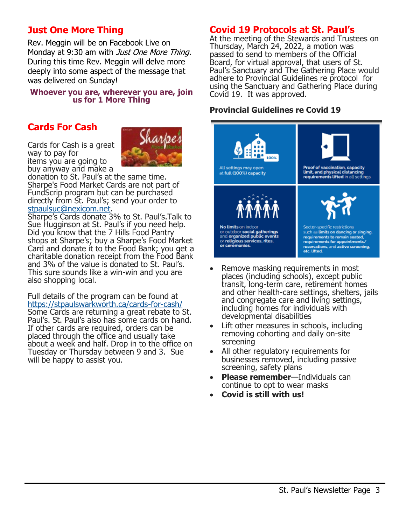## **Just One More Thing**

Rev. Meggin will be on Facebook Live on Monday at 9:30 am with *Just One More Thing.* During this time Rev. Meggin will delve more deeply into some aspect of the message that was delivered on Sunday!

#### **Whoever you are, wherever you are, join us for 1 More Thing**

### **Cards For Cash**

Cards for Cash is a great way to pay for items you are going to buy anyway and make a



donation to St. Paul's at the same time. Sharpe's Food Market Cards are not part of FundScrip program but can be purchased directly from St. Paul's; send your order to [stpaulsuc@nexicom.net.](mailto:stpaulsuc@nexicom.net)

Sharpe's Cards donate 3% to St. Paul's.Talk to Sue Hugginson at St. Paul's if you need help. Did you know that the 7 Hills Food Pantry shops at Sharpe's; buy a Sharpe's Food Market Card and donate it to the Food Bank; you get a charitable donation receipt from the Food Bank and 3% of the value is donated to St. Paul's. This sure sounds like a win-win and you are also shopping local.

Full details of the program can be found at [https://stpaulswarkworth.ca/cards](https://stpaulswarkworth.ca/cards-for-cash/)-for-cash/

Some Cards are returning a great rebate to St. Paul's. St. Paul's also has some cards on hand. If other cards are required, orders can be placed through the office and usually take about a week and half. Drop in to the office on Tuesday or Thursday between 9 and 3. Sue will be happy to assist you.

### **Covid 19 Protocols at St. Paul's**

At the meeting of the Stewards and Trustees on Thursday, March 24, 2022, a motion was passed to send to members of the Official Board, for virtual approval, that users of St. Paul's Sanctuary and The Gathering Place would adhere to Provincial Guidelines re protocol for using the Sanctuary and Gathering Place during Covid 19. It was approved.

#### **Provincial Guidelines re Covid 19**



- Remove masking requirements in most places (including schools), except public transit, long-term care, retirement homes and other health-care settings, shelters, jails and congregate care and living settings, including homes for individuals with developmental disabilities
- Lift other measures in schools, including removing cohorting and daily on-site screening
- All other regulatory requirements for businesses removed, including passive screening, safety plans
- **Please remember**—Individuals can continue to opt to wear masks
- **Covid is still with us!**